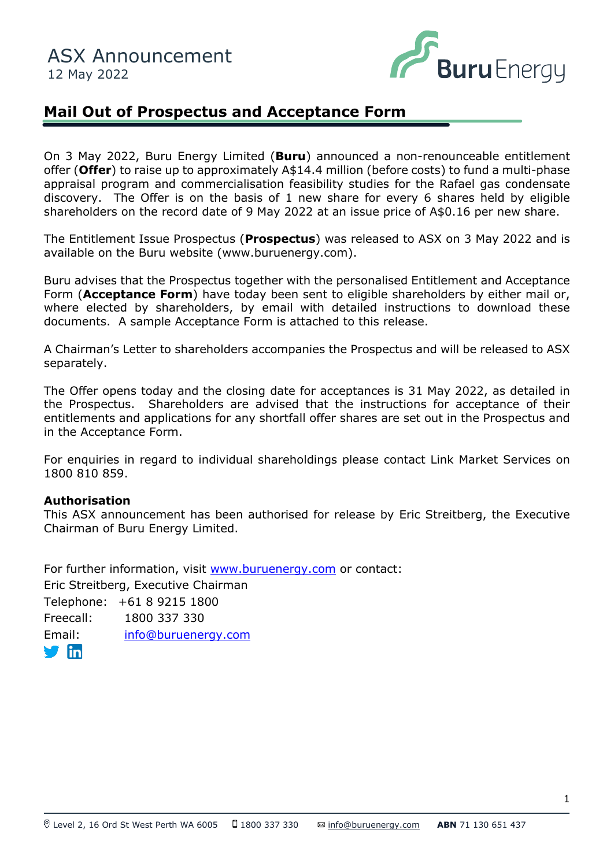

# **Mail Out of Prospectus and Acceptance Form**

On 3 May 2022, Buru Energy Limited (**Buru**) announced a non-renounceable entitlement offer (**Offer**) to raise up to approximately A\$14.4 million (before costs) to fund a multi-phase appraisal program and commercialisation feasibility studies for the Rafael gas condensate discovery. The Offer is on the basis of 1 new share for every 6 shares held by eligible shareholders on the record date of 9 May 2022 at an issue price of A\$0.16 per new share.

The Entitlement Issue Prospectus (Prospectus) was released to ASX on 3 May 2022 and is available on the Buru website (www.buruenergy.com).

Buru advises that the Prospectus together with the personalised Entitlement and Acceptance Form (**Acceptance Form**) have today been sent to eligible shareholders by either mail or, where elected by shareholders, by email with detailed instructions to download these documents. A sample Acceptance Form is attached to this release.

A Chairman's Letter to shareholders accompanies the Prospectus and will be released to ASX separately.

The Offer opens today and the closing date for acceptances is 31 May 2022, as detailed in the Prospectus. Shareholders are advised that the instructions for acceptance of their entitlements and applications for any shortfall offer shares are set out in the Prospectus and in the Acceptance Form.

For enquiries in regard to individual shareholdings please contact Link Market Services on 1800 810 859.

## **Authorisation**

This ASX announcement has been authorised for release by Eric Streitberg, the Executive Chairman of Buru Energy Limited.

For further information, visit [www.buruenergy.com](http://www.buruenergy.com/) or contact: Eric Streitberg, Executive Chairman Telephone: +61 8 9215 1800 Freecall: 1800 337 330 Email: [info@buruenergy.com](mailto:info@buruenergy.com)

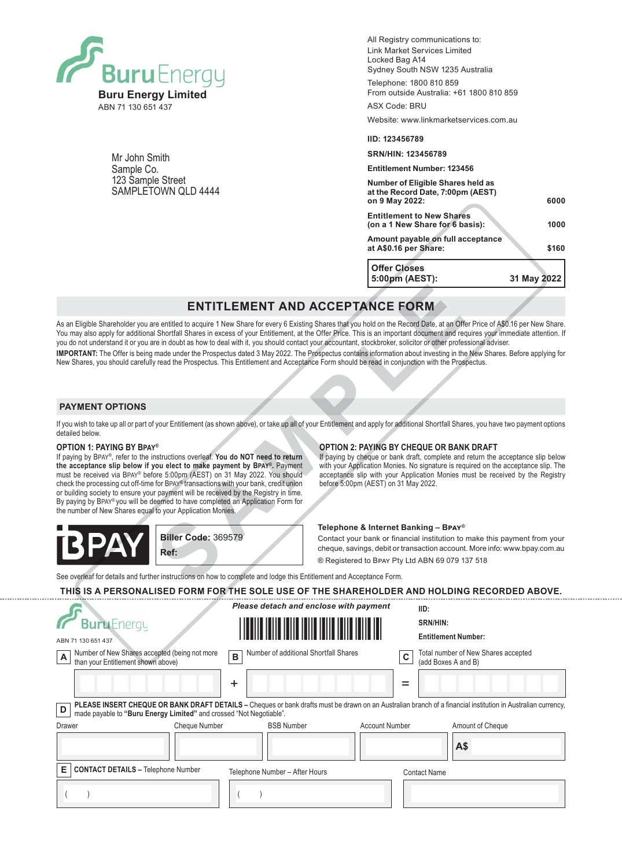

Mr John Smith Sample Co. 123 Sample Street SAMPLETOWN QLD 4444 All Registry communications to: Link Market Services Limited Locked Bag A14 Sydney South NSW 1235 Australia

Telephone: 1800 810 859 From outside Australia: +61 1800 810 859

Website: www.linkmarketservices.com.au

#### **IID: 123456789**

ASX Code: BRU

#### **SRN/HIN: 123456789**

**Entitlement Number: 123456**

| <b>Offer Closes</b><br>5:00pm (AEST):                                                    | 31 May 2022 |  |
|------------------------------------------------------------------------------------------|-------------|--|
| Amount payable on full acceptance<br>at A\$0.16 per Share:                               | \$160       |  |
| <b>Entitlement to New Shares</b><br>(on a 1 New Share for 6 basis):                      | 1000        |  |
| Number of Eligible Shares held as<br>at the Record Date, 7:00pm (AEST)<br>on 9 May 2022: | 6000        |  |

## **ENTITLEMENT AND ACCEPTANCE FORM**

As an Eligible Shareholder you are entitled to acquire 1 New Share for every 6 Existing Shares that you hold on the Record Date, at an Offer Price of A\$0.16 per New Share. You may also apply for additional Shortfall Shares in excess of your Entitlement, at the Offer Price. This is an important document and requires your immediate attention. If you do not understand it or you are in doubt as how to deal with it, you should contact your accountant, stockbroker, solicitor or other professional adviser. **IMPORTANT:** The Offer is being made under the Prospectus dated 3 May 2022. The Prospectus contains information about investing in the New Shares. Before applying for New Shares, you should carefully read the Prospectus. This Entitlement and Acceptance Form should be read in conjunction with the Prospectus. **ENTITLEMENT AND ACCEPTANCE FORM**<br>
Fe entitled to acquire 1 New Share for every 6 Existing Shares that you hold on the Record Date, at an Off<br>
Shortfall Shares in excess of your Entitlement at the Offer Price. This is an i

### **PAYMENT OPTIONS**

If you wish to take up all or part of your Entitlement (as shown above), or take up all of your Entitlement and apply for additional Shortfall Shares, you have two payment options detailed below.

#### **OPTION 1: PAYING BY Bpay®**

If paying by Bpay®, refer to the instructions overleaf. **You do NOT need to return the acceptance slip below if you elect to make payment by Bpay®.** Payment must be received via Bpay® before 5:00pm (AEST) on 31 May 2022. You should check the processing cut off-time for Bpay® transactions with your bank, credit union or building society to ensure your payment will be received by the Registry in time. By paying by Bpay® you will be deemed to have completed an Application Form for the number of New Shares equal to your Application Monies.

## **OPTION 2: PAYING BY CHEQUE OR BANK DRAFT**

If paying by cheque or bank draft, complete and return the acceptance slip below with your Application Monies. No signature is required on the acceptance slip. The acceptance slip with your Application Monies must be received by the Registry before 5:00pm (AEST) on 31 May 2022.

#### **Telephone & Internet Banking – Bpay®**

Contact your bank or financial institution to make this payment from your cheque, savings, debit or transaction account. More info: www.bpay.com.au ® Registered to Bpay Pty Ltd ABN 69 079 137 518

See overleaf for details and further instructions on how to complete and lodge this Entitlement and Acceptance Form.

**Ref:**

**Biller Code:** 369579

#### **THIS IS A PERSONALISED FORM FOR THE SOLE USE OF THE SHAREHOLDER AND HOLDING RECORDED ABOVE.**

|                                                                                                                                                                                                                                          |                      | Please detach and enclose with payment | IID:                  |                                                            |  |  |
|------------------------------------------------------------------------------------------------------------------------------------------------------------------------------------------------------------------------------------------|----------------------|----------------------------------------|-----------------------|------------------------------------------------------------|--|--|
| <b>Buru</b> Energy                                                                                                                                                                                                                       |                      |                                        |                       | SRN/HIN:                                                   |  |  |
| ABN 71 130 651 437                                                                                                                                                                                                                       |                      |                                        |                       | <b>Entitlement Number:</b>                                 |  |  |
| Number of New Shares accepted (being not more<br>A<br>than your Entitlement shown above)                                                                                                                                                 | $\, {\bf B}$         | Number of additional Shortfall Shares  | C                     | Total number of New Shares accepted<br>(add Boxes A and B) |  |  |
|                                                                                                                                                                                                                                          | +                    |                                        | $=$                   |                                                            |  |  |
| PLEASE INSERT CHEQUE OR BANK DRAFT DETAILS – Cheques or bank drafts must be drawn on an Australian branch of a financial institution in Australian currency,<br>D<br>made payable to "Buru Energy Limited" and crossed "Not Negotiable". |                      |                                        |                       |                                                            |  |  |
| Drawer                                                                                                                                                                                                                                   | <b>Cheque Number</b> | <b>BSB Number</b>                      | <b>Account Number</b> | Amount of Cheque                                           |  |  |
|                                                                                                                                                                                                                                          |                      |                                        |                       | A\$                                                        |  |  |
| Е<br><b>CONTACT DETAILS - Telephone Number</b>                                                                                                                                                                                           |                      | Telephone Number - After Hours         |                       | <b>Contact Name</b>                                        |  |  |
|                                                                                                                                                                                                                                          |                      |                                        |                       |                                                            |  |  |